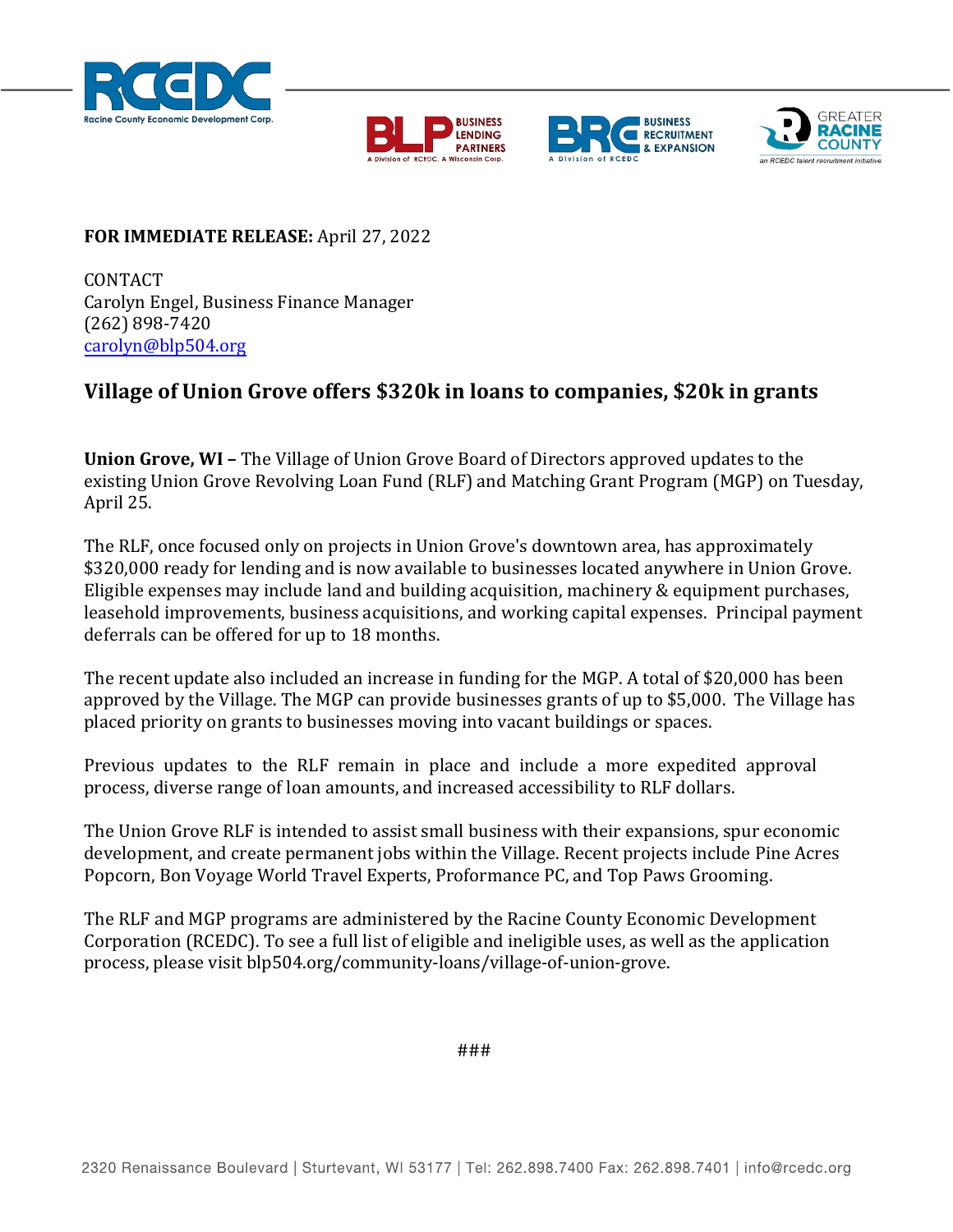







## **FOR IMMEDIATE RELEASE:** April 27, 2022

CONTACT Carolyn Engel, Business Finance Manager (262) 898-7420 [carolyn@blp504.org](mailto:carolyn@blp504.org)

## **Village of Union Grove offers \$320k in loans to companies, \$20k in grants**

**Union Grove, WI –** The Village of Union Grove Board of Directors approved updates to the existing Union Grove Revolving Loan Fund (RLF) and Matching Grant Program (MGP) on Tuesday, April 25.

The RLF, once focused only on projects in Union Grove's downtown area, has approximately \$320,000 ready for lending and is now available to businesses located anywhere in Union Grove. Eligible expenses may include land and building acquisition, machinery & equipment purchases, leasehold improvements, business acquisitions, and working capital expenses. Principal payment deferrals can be offered for up to 18 months.

The recent update also included an increase in funding for the MGP. A total of \$20,000 has been approved by the Village. The MGP can provide businesses grants of up to \$5,000. The Village has placed priority on grants to businesses moving into vacant buildings or spaces.

Previous updates to the RLF remain in place and include a more expedited approval process, diverse range of loan amounts, and increased accessibility to RLF dollars.

The Union Grove RLF is intended to assist small business with their expansions, spur economic development, and create permanent jobs within the Village. Recent projects include Pine Acres Popcorn, Bon Voyage World Travel Experts, Proformance PC, and Top Paws Grooming.

The RLF and MGP programs are administered by the Racine County Economic Development Corporation (RCEDC). To see a full list of eligible and ineligible uses, as well as the application process, please visit blp504.org/community-loans/village-of-union-grove.

###